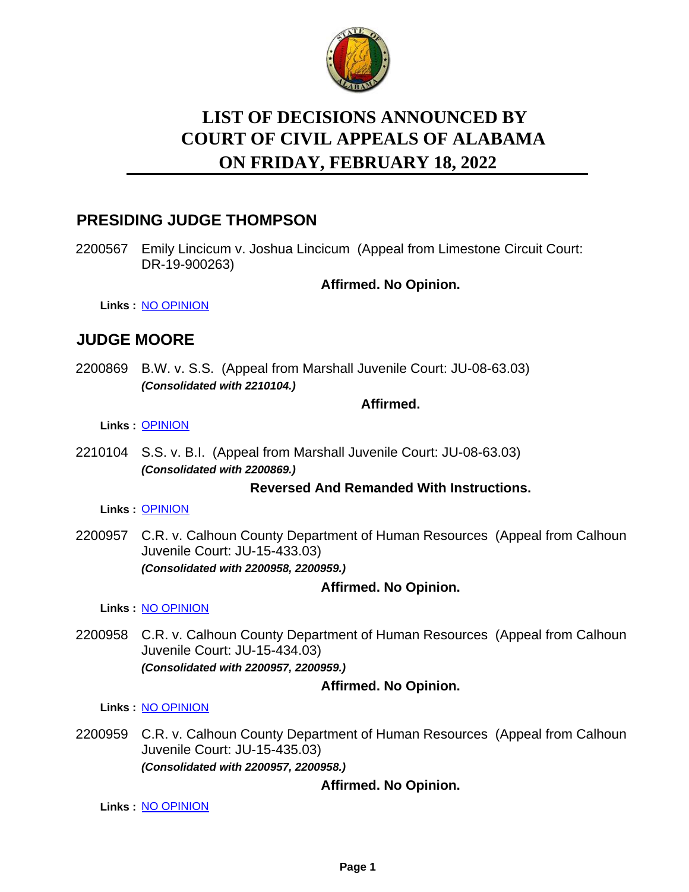

# **LIST OF DECISIONS ANNOUNCED BY ON FRIDAY, FEBRUARY 18, 2022 COURT OF CIVIL APPEALS OF ALABAMA**

# **PRESIDING JUDGE THOMPSON**

2200567 Emily Lincicum v. Joshua Lincicum (Appeal from Limestone Circuit Court: DR-19-900263)

**Affirmed. No Opinion.**

**Links :** [NO OPINION](https://acis.alabama.gov/displaydocs.cfm?no=1120827&event=69N0NDC60)

# **JUDGE MOORE**

2200869 B.W. v. S.S. (Appeal from Marshall Juvenile Court: JU-08-63.03) *(Consolidated with 2210104.)*

#### **Affirmed.**

**Links :** [OPINION](https://acis.alabama.gov/displaydocs.cfm?no=1120826&event=69N0NDC1P)

2210104 S.S. v. B.I. (Appeal from Marshall Juvenile Court: JU-08-63.03) *(Consolidated with 2200869.)*

#### **Reversed And Remanded With Instructions.**

**Links :** [OPINION](https://acis.alabama.gov/displaydocs.cfm?no=1120826&event=69N0NDC1P)

2200957 C.R. v. Calhoun County Department of Human Resources (Appeal from Calhoun Juvenile Court: JU-15-433.03) *(Consolidated with 2200958, 2200959.)*

## **Affirmed. No Opinion.**

**Links :** [NO OPINION](https://acis.alabama.gov/displaydocs.cfm?no=1120831&event=69N0NDCH9)

2200958 C.R. v. Calhoun County Department of Human Resources (Appeal from Calhoun Juvenile Court: JU-15-434.03) *(Consolidated with 2200957, 2200959.)*

## **Affirmed. No Opinion.**

**Links :** [NO OPINION](https://acis.alabama.gov/displaydocs.cfm?no=1120831&event=69N0NDCH9)

2200959 C.R. v. Calhoun County Department of Human Resources (Appeal from Calhoun Juvenile Court: JU-15-435.03) *(Consolidated with 2200957, 2200958.)*

## **Affirmed. No Opinion.**

**Links :** [NO OPINION](https://acis.alabama.gov/displaydocs.cfm?no=1120831&event=69N0NDCH9)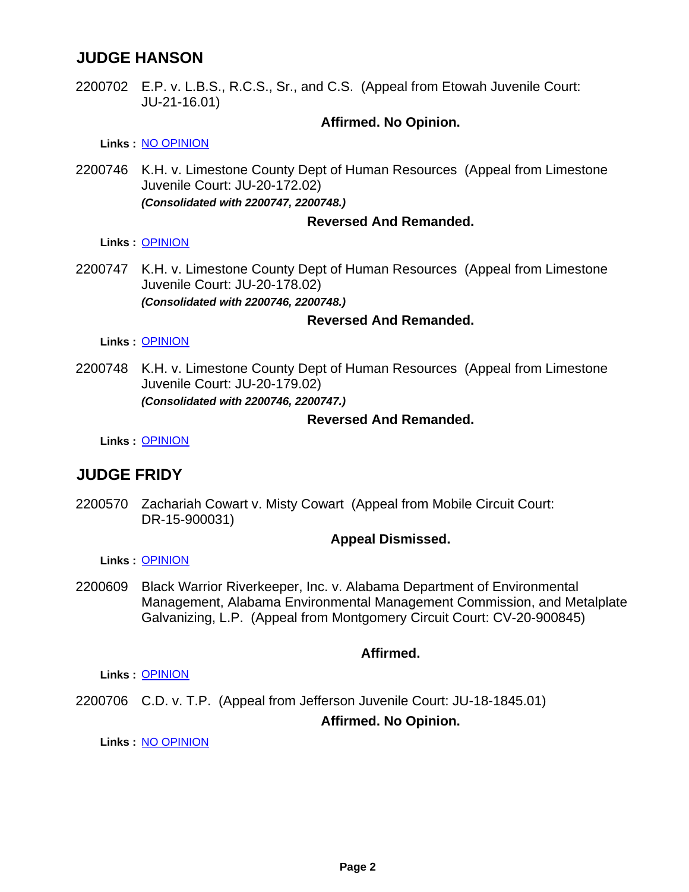# **JUDGE HANSON**

2200702 E.P. v. L.B.S., R.C.S., Sr., and C.S. (Appeal from Etowah Juvenile Court: JU-21-16.01)

#### **Affirmed. No Opinion.**

**Links :** [NO OPINION](https://acis.alabama.gov/displaydocs.cfm?no=1120828&event=69N0NDC94)

2200746 K.H. v. Limestone County Dept of Human Resources (Appeal from Limestone Juvenile Court: JU-20-172.02) *(Consolidated with 2200747, 2200748.)*

#### **Reversed And Remanded.**

**Links :** [OPINION](https://acis.alabama.gov/displaydocs.cfm?no=1120825&event=69N0NDBPN)

2200747 K.H. v. Limestone County Dept of Human Resources (Appeal from Limestone Juvenile Court: JU-20-178.02) *(Consolidated with 2200746, 2200748.)*

#### **Reversed And Remanded.**

**Links :** [OPINION](https://acis.alabama.gov/displaydocs.cfm?no=1120825&event=69N0NDBPN)

2200748 K.H. v. Limestone County Dept of Human Resources (Appeal from Limestone Juvenile Court: JU-20-179.02) *(Consolidated with 2200746, 2200747.)*

#### **Reversed And Remanded.**

**Links :** [OPINION](https://acis.alabama.gov/displaydocs.cfm?no=1120825&event=69N0NDBPN)

# **JUDGE FRIDY**

2200570 Zachariah Cowart v. Misty Cowart (Appeal from Mobile Circuit Court: DR-15-900031)

#### **Appeal Dismissed.**

**Links :** [OPINION](https://acis.alabama.gov/displaydocs.cfm?no=1120823&event=69N0NDBJO)

2200609 Black Warrior Riverkeeper, Inc. v. Alabama Department of Environmental Management, Alabama Environmental Management Commission, and Metalplate Galvanizing, L.P. (Appeal from Montgomery Circuit Court: CV-20-900845)

#### **Affirmed.**

**Links :** [OPINION](https://acis.alabama.gov/displaydocs.cfm?no=1120824&event=69N0NDBMW)

2200706 C.D. v. T.P. (Appeal from Jefferson Juvenile Court: JU-18-1845.01) **Affirmed. No Opinion.**

**Links :** [NO OPINION](https://acis.alabama.gov/displaydocs.cfm?no=1120829&event=69N0NDCBJ)